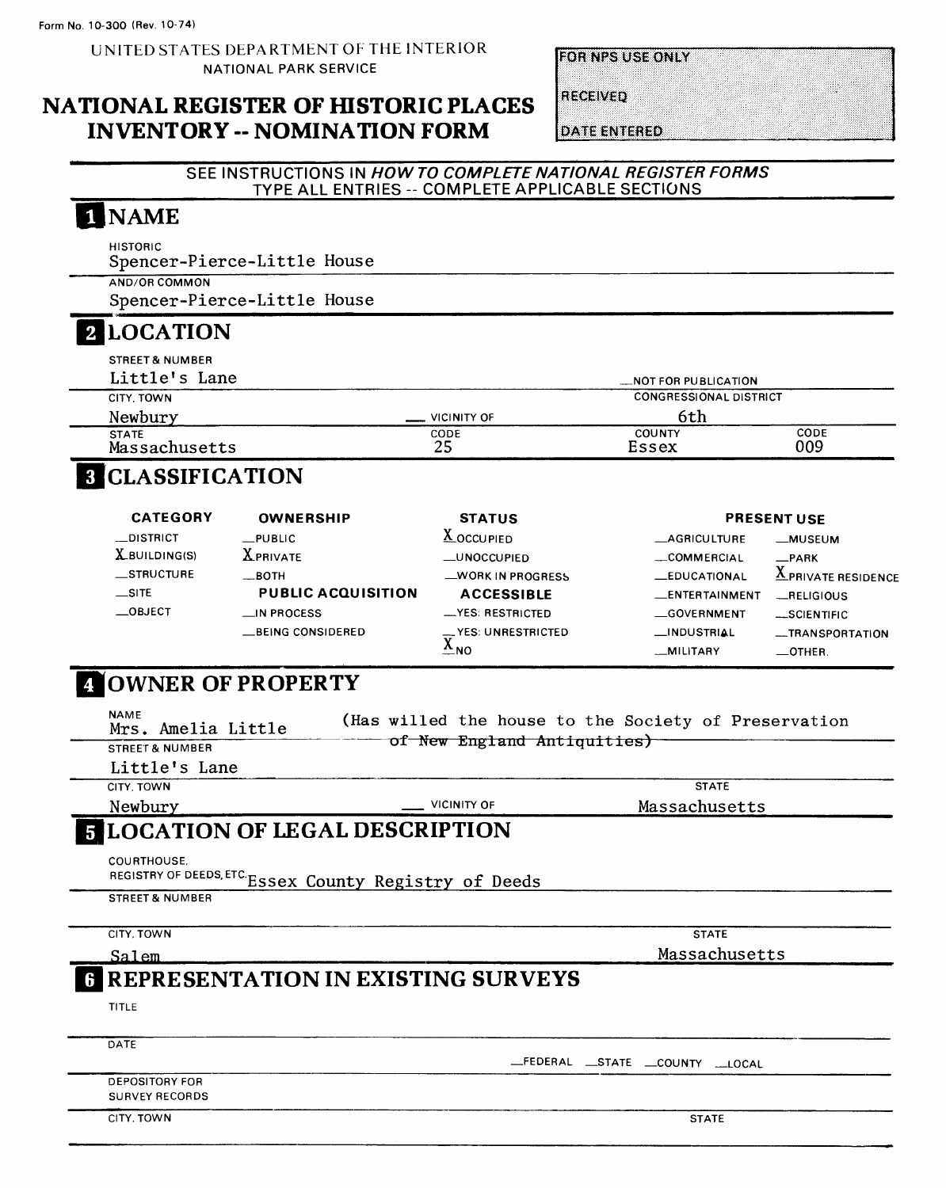UNITED STATES DEPARTMENT OF THE INTERIOR NATIONAL PARK SERVICE

### **NATIONAL REGISTER OF HISTORIC PLACES INVENTORY -- NOMINATION FORM**

**FOR NPS USE ONLY** 

**RECEIVED** 

**DATE ENTERED** 

#### SEE INSTRUCTIONS IN **HOW TO COMPLETE NATIONAL REGISTER FORMS**  TYPE ALL ENTRIES -- COMPLETE APPLICABLE SECTIONS

# I NAME

HISTORIC

Spencer-Pierce-Little House

AND/OR COMMON Spencer-Pierce-Little House \_\_\_\_\_

### **LOCATION**

| <b>STREET &amp; NUMBER</b><br>Little's Lane |                    | <b>MOT FOR PUBLICATION</b>    |             |  |
|---------------------------------------------|--------------------|-------------------------------|-------------|--|
| CITY, TOWN                                  |                    | <b>CONGRESSIONAL DISTRICT</b> |             |  |
| Newbury                                     | <b>VICINITY OF</b> | 6th                           |             |  |
| <b>STATE</b><br>Massachusetts               | CODE<br>25         | <b>COUNTY</b><br>Essex        | CODE<br>009 |  |

# **CLASSIFICATION**

| <b>CATEGORY</b>  | <b>OWNERSHIP</b>          | <b>STATUS</b>             |                       | <b>PRESENT USE</b>             |
|------------------|---------------------------|---------------------------|-----------------------|--------------------------------|
| __DISTRICT       | $_{\rm -}$ PUBLIC         | $\triangle$ OCCUPIED      | <b>_AGRICULTURE</b>   | -MUSEUM                        |
| $X$ building(s)  | <b>X</b> PRIVATE          | _UNOCCUPIED               | COMMERCIAL            | _PARK                          |
| <b>STRUCTURE</b> | $\equiv$ BOTH             | -WORK IN PROGRESS         | <b>LEDUCATIONAL</b>   | v<br><b>APRIVATE RESIDENCE</b> |
| $\equiv$ SITE    | <b>PUBLIC ACQUISITION</b> | <b>ACCESSIBLE</b>         | <b>LENTERTAINMENT</b> | RELIGIOUS                      |
| $\equiv$ OBJECT  | $\Box$ IN PROCESS         | -YES: RESTRICTED          | GOVERNMENT            | $-SCIENTIFIC$                  |
|                  | _BEING CONSIDERED         | __ YES: UNRESTRICTED<br>v | <b>__INDUSTRIAL</b>   | -TRANSPORTATION                |
|                  |                           | $\triangle$ NO            | __MILITARY            | $-$ OTHER.                     |

## *COWNER OF PROPERTY*

| <b>NAME</b><br>Mrs. Amelia Little<br><b>STREET &amp; NUMBER</b> | of New England Antiquities)                           | (Has willed the house to the Society of Preservation |
|-----------------------------------------------------------------|-------------------------------------------------------|------------------------------------------------------|
| Little's Lane                                                   |                                                       |                                                      |
| CITY. TOWN                                                      |                                                       | <b>STATE</b>                                         |
| Newbury                                                         | <b>VICINITY OF</b>                                    | Massachusetts                                        |
| <b>5 LOCATION OF LEGAL DESCRIPTION</b><br>COURTHOUSE.           |                                                       |                                                      |
|                                                                 | REGISTRY OF DEEDS, ETC ESSEX County Registry of Deeds |                                                      |
| <b>STREET &amp; NUMBER</b>                                      |                                                       |                                                      |
| CITY. TOWN                                                      |                                                       | <b>STATE</b>                                         |
| Salem                                                           |                                                       | Massachusetts                                        |
|                                                                 | <b>6 REPRESENTATION IN EXISTING SURVEYS</b>           |                                                      |
| <b>TITLE</b>                                                    |                                                       |                                                      |
| DATE                                                            |                                                       |                                                      |
|                                                                 |                                                       | _FEDERAL __STATE __COUNTY __LOCAL                    |
| <b>DEPOSITORY FOR</b><br><b>SURVEY RECORDS</b>                  |                                                       |                                                      |
| CITY. TOWN                                                      |                                                       | <b>STATE</b>                                         |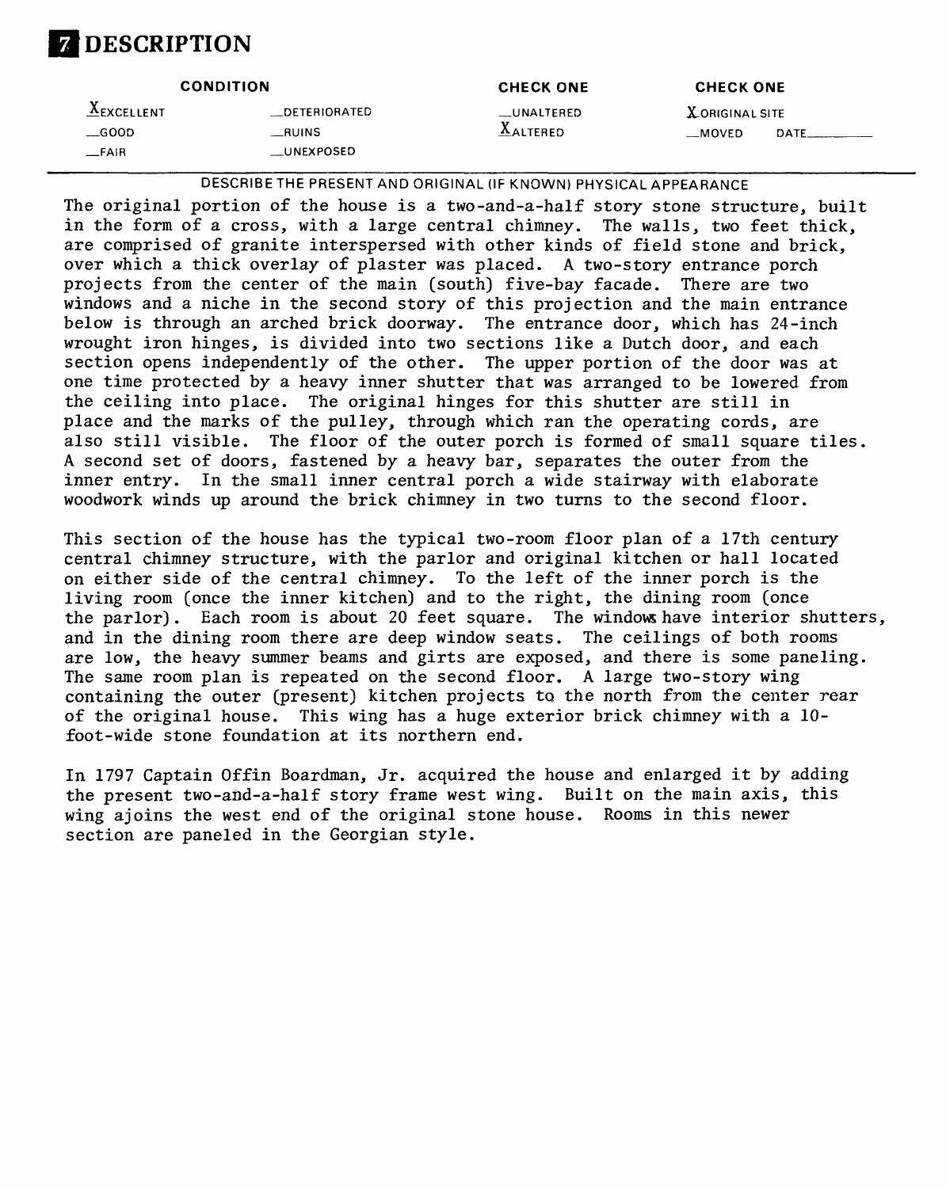

|                       | <b>CONDITION</b>    | <b>CHECK ONE</b> | <b>CHECK ONE</b>      |
|-----------------------|---------------------|------------------|-----------------------|
| $\triangle$ EXCELLENT | <b>DETERIORATED</b> | _UNALTERED       | <b>XORIGINAL SITE</b> |
| $\equiv$ GOOD         | __RUINS             | <b>AALTERED</b>  | __MOVED<br>DATE       |
| __FAIR                | __UNEXPOSED         |                  |                       |

DESCRIBETHE PRESENT AND ORIGINAL (IF KNOWN) PHYSICAL APPEARANCE

The original portion of the house is a two-and-a-half story stone structure, built in the form of a cross, with a large central chimney. The walls, two feet thick, are comprised of granite interspersed with other kinds of field stone and brick, over which a thick overlay of plaster was placed. A two-story entrance porch projects from the center of the main (south) five-bay facade. There are two windows and a niche in the second story of this projection and the main entrance below is through an arched brick doorway. The entrance door, which has 24-inch wrought iron hinges, is divided into two sections like a Dutch door, and each section opens independently of the other. The upper portion of the door was at one time protected by a heavy inner shutter that was arranged to be lowered from the ceiling into place. The original hinges for this shutter are still in place and the marks of the pulley, through which ran the operating cords, are also still visible. The floor of the outer porch is formed of small square tiles. A second set of doors, fastened by a heavy bar, separates the outer from the inner entry. In the small inner central porch a wide stairway with elaborate woodwork winds up around the brick chimney in two turns to the second floor.

This section of the house has the typical two-room floor plan of a 17th century central chimney structure, with the parlor and original kitchen or hall located on either side of the central chimney. To the left of the inner porch is the living room (once the inner kitchen) and to the right, the dining room (once the parlor). Each room is about 20 feet square. The windows have interior shutters, and in the dining room there are deep window seats. The ceilings of both rooms are low, the heavy summer beams and girts are exposed, and there is some paneling. The same room plan is repeated on the second floor. A large two-story wing containing the outer (present) kitchen projects to the north from the center rear of the original house. This wing has a huge exterior brick chimney with a 10 foot-wide stone foundation at its northern end.

In 1797 Captain Offin Boardman, Jr. acquired the house and enlarged it by adding the present two-and-a-half story frame west wing. Built on the main axis, this wing ajoins the west end of the original stone house. Rooms in this newer section are paneled in the Georgian style.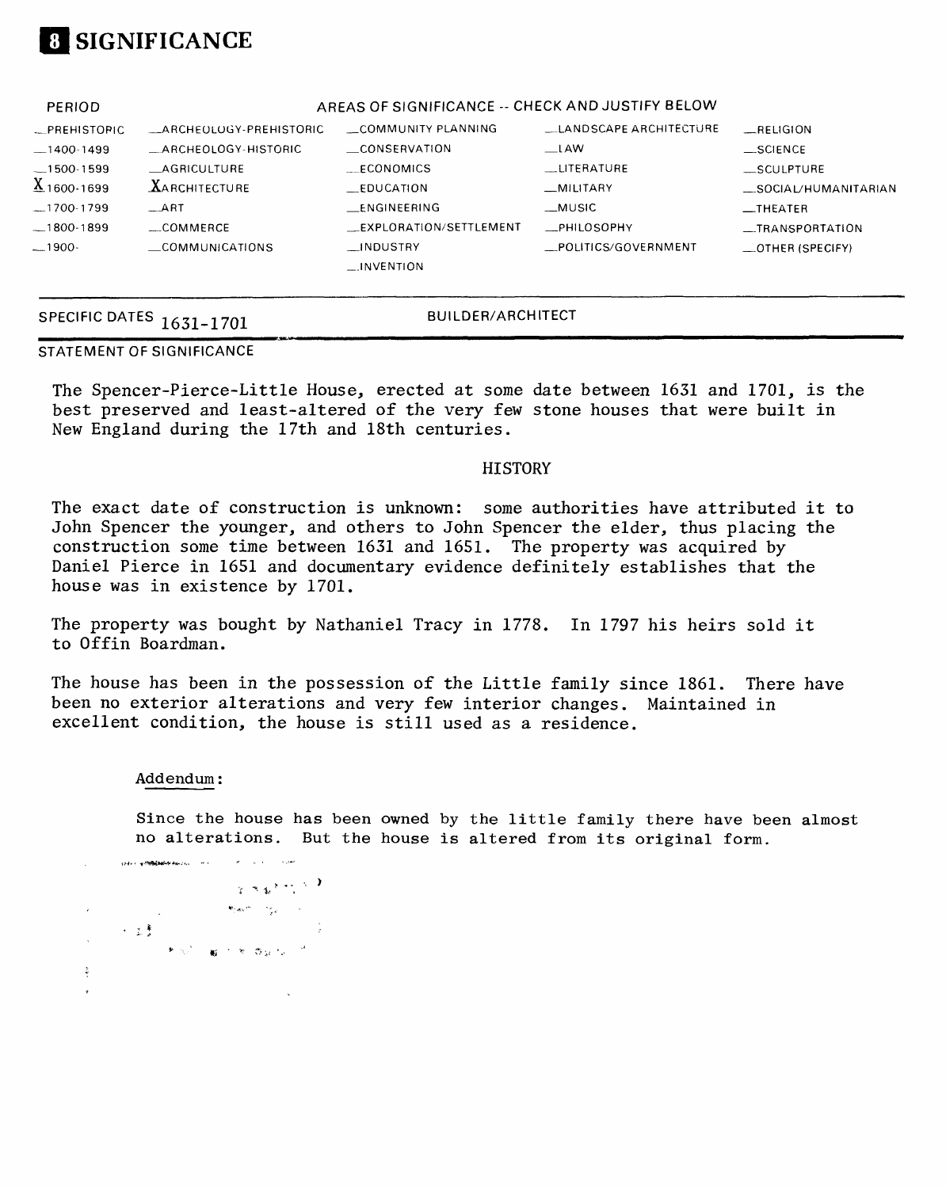

| PERIOD              |                         | AREAS OF SIGNIFICANCE -- CHECK AND JUSTIFY BELOW |                        |                          |
|---------------------|-------------------------|--------------------------------------------------|------------------------|--------------------------|
| <b>LPREHISTOPIC</b> | _ARCHEOLOGY-PREHISTORIC | COMMUNITY PLANNING                               | LANDSCAPE ARCHITECTURE | RFLIGION                 |
| $-1400-1499$        | _ARCHEOLOGY-HISTORIC    | CONSERVATION                                     | $\equiv$ LAW           | $\_SCIENCE$              |
| $-1500-1599$        | AGRICULTURE             | <b>ECONOMICS</b>                                 | <b>LITERATURE</b>      | $\_$ SCULPTURE           |
| $X_{1600-1699}$     | $X$ ARCHITECTURE        | EDUCATION                                        | $-MILLITARY$           | _SOCIAL/HUMANITARIAN     |
| $-1700-1799$        | ART                     | ENGINEERING                                      | __MUSIC                | $-$ THEATER              |
| $-1800-1899$        | COMMERCE                | EXPLORATION/SETTLEMENT                           | _PHILOSOPHY            | __TRANSPORTATION         |
| $-1900-$            | COMMUNICATIONS          | __INDUSTRY                                       | POLITICS/GOVERNMENT    | $\equiv$ OTHER (SPECIFY) |
|                     |                         | $\equiv$ INVENTION                               |                        |                          |

# SPECIFIC DATES 1631-1701 BUILDER/ARCHITECT

#### STATEMENT OF SIGNIFICANCE

The Spencer-Pierce-Little House, erected at some date between 1631 and 1701, is the best preserved and least-altered of the very few stone houses that were built in New England during the 17th and 18th centuries.

#### **HISTORY**

The exact date of construction is unknown: some authorities have attributed it to John Spencer the younger, and others to John Spencer the elder, thus placing the construction some time between 1631 and 1651. The property was acquired by Daniel Pierce in 1651 and documentary evidence definitely establishes that the house was in existence by 1701.

The property was bought by Nathaniel Tracy in 1778. In 1797 his heirs sold it to Offin Boardman.

The house has been in the possession of the Little family since 1861. There have been no exterior alterations and very few interior changes. Maintained in excellent condition, the house is still used as a residence.

#### Addendum:

Since the house has been owned by the little family there have been almost no alterations. But the house is altered from its original form.

a political aparticipation of the control of the control of the control of the control of the control of the control of the control of the control of the control of the control of the control of the control of the control  $\frac{1}{2}$  ,  $\frac{1}{2}$  ,  $\frac{1}{2}$  ,  $\frac{1}{2}$  ,  $\frac{1}{2}$  ,  $\frac{1}{2}$  $\mathbf{w}_{\text{pair}} = \frac{1}{2} \mathbf{w}_{\text{pair}}$  $\mathcal{L}^{\text{max}}_{\text{max}}$  $\label{eq:Raman} \mathfrak{M}_{\text{M}}(\mathfrak{m})=\sum_{\substack{\mathfrak{m} \in \mathbb{Z}^d \\ \mathfrak{m} \in \mathbb{Z}^d \\ \mathfrak{m} \in \mathbb{Z}^d}}\mathfrak{m}(\mathfrak{m})=\sum_{\substack{\mathfrak{m} \in \mathbb{Z}^d \\ \mathfrak{m} \in \mathbb{Z}^d \\ \mathfrak{m} \in \mathbb{Z}^d}}\mathfrak{m}(\mathfrak{m})=\sum_{\substack{\mathfrak{m} \in \mathbb{Z}^d \\ \mathfrak{m} \in \mathbb{Z}^d \\ \mathfr$ ・32 mg とき のほん<sup>しょ</sup>  $\frac{3}{2}$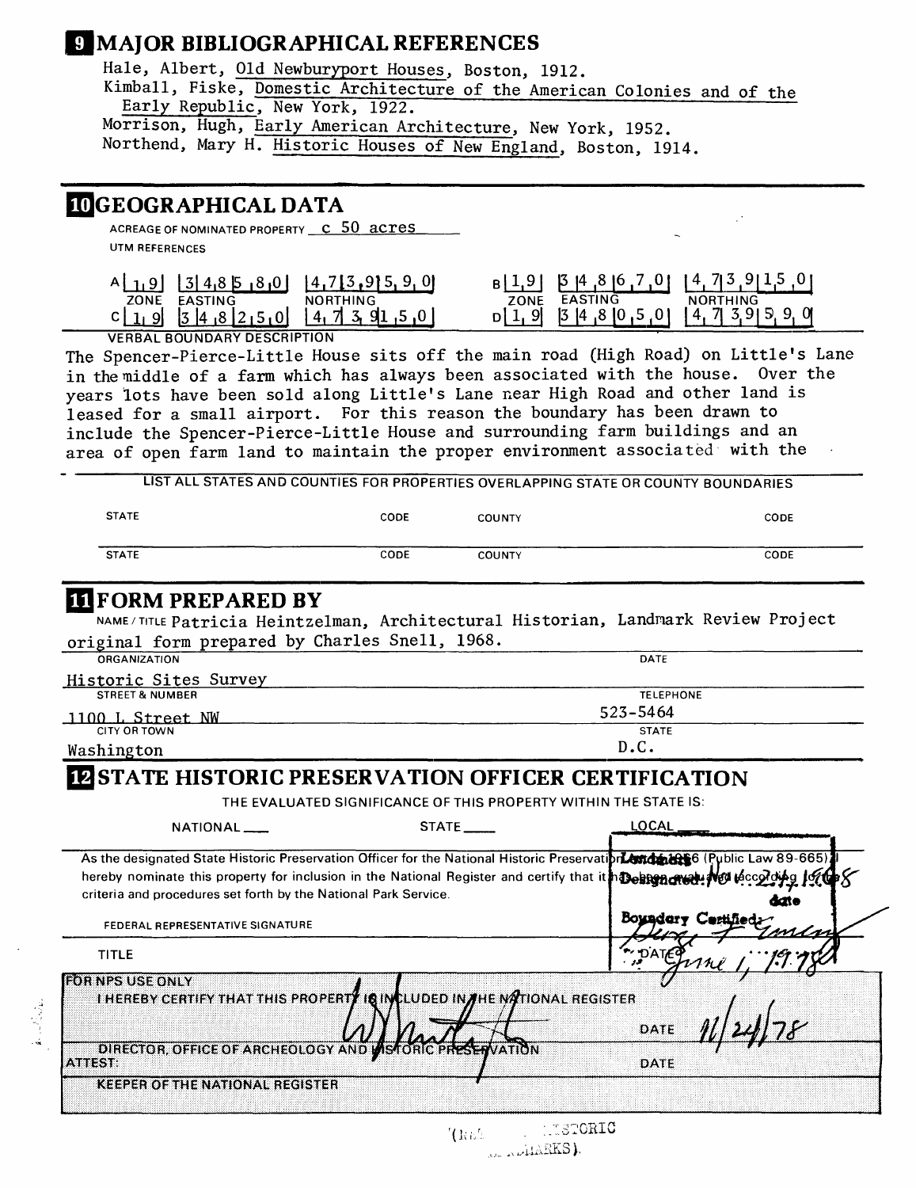### **MAJOR BIBLIOGRAPHICAL REFERENCES**

Hale, Albert, Old Newburyport Houses, Boston, 1912. Kimball, Fiske, Domestic Architecture of the American Colonies and of the Early Republic, New York, 1922. Morrison, Hugh, Early American Architecture, New York, 1952. Northend, Mary H. Historic Houses of New England, Boston, 1914.

# **JUGEOGRAPHICAL DATA**

ACREAGE OF NOMINATED PROPERTY C 50 aCTES UTM REFERENCES

| 8,01<br>410.           | 9. OI<br>4.    |             | 10.7.01<br>. O<br>∼ |                 |
|------------------------|----------------|-------------|---------------------|-----------------|
| <b>ZONE</b><br>EASTING | . HING<br>NOR1 | <b>ZONE</b> | <b>EASTING</b>      | <b>NORTHING</b> |
| $\cdot$                |                | . ب         | 0 <br>5 ו 10 א 14 ט | ້. ບ            |

**VERBAL BOUNDARY DESCRIPTION**

The Spencer-Pierce-Little House sits off the main road (High Road) on Little's Lane in the middle of a farm which has always been associated with the house. Over the years lots have been sold along Little's Lane near High Road and other land is leased for a small airport. For this reason the boundary has been drawn to include the Spencer-Pierce-Little House and surrounding farm buildings and an area of open farm land to maintain the proper environment associated with the

**LIST ALL STATES AND COUNTIES FOR PROPERTIES OVERLAPPING STATE OR COUNTY BOUNDARIES**

| <b>STATE</b> | CODE | <b>COUNTY</b> | CODE |
|--------------|------|---------------|------|
| <b>STATE</b> | CODE | <b>COUNTY</b> | CODE |

### **[FORM PREPARED BY**

NAME/TITLE Patricia Heintzelman, Architectural Historian, Landnark Review Project original form prepared by Charles Snell, 1968.

| <b>ORGANIZATION</b>        | DATE             |  |
|----------------------------|------------------|--|
| Historic Sites Survey      |                  |  |
| <b>STREET &amp; NUMBER</b> | <b>TELEPHONE</b> |  |
| 1100 L Street NW           | 523-5464         |  |
| <b>CITY OR TOWN</b>        | <b>STATE</b>     |  |
| Washington                 | D.C.             |  |

### **ESTATE HISTORIC PRESERVATION OFFICER CERTIFICATION**

**THE EVALUATED SIGNIFICANCE OF THIS PROPERTY WITHIN THE STATE IS:** 

| NATIONAL_                                                                                                                                                                              | <b>STATE</b> | LOCAL                     |
|----------------------------------------------------------------------------------------------------------------------------------------------------------------------------------------|--------------|---------------------------|
| As the designated State Historic Preservation Officer for the National Historic Preservation Antional State (Public Law 89-665).                                                       |              |                           |
| hereby nominate this property for inclusion in the National Register and certify that it has the new to the colding<br>criteria and procedures set forth by the National Park Service. |              |                           |
| FEDERAL REPRESENTATIVE SIGNATURE                                                                                                                                                       |              | Boundary Certified.<br>ma |
| <b>TITLE</b>                                                                                                                                                                           |              |                           |
| <b>FOR NPS USE ONLY</b><br>I HEREBY CERTIFY THAT THIS PROPERTY IN INCLUDED IN THE NATIONAL REGISTER                                                                                    |              | DATE                      |
| DIRECTOR, OFFICE OF ARCHEOLOGY AND K<br>K. 486338                                                                                                                                      |              | DATE                      |
| <b>KEEPER OF THE NATIONAL REGISTER</b>                                                                                                                                                 |              |                           |
|                                                                                                                                                                                        |              |                           |

MARINE TESTORIC '(Rail Je KollaRKS).